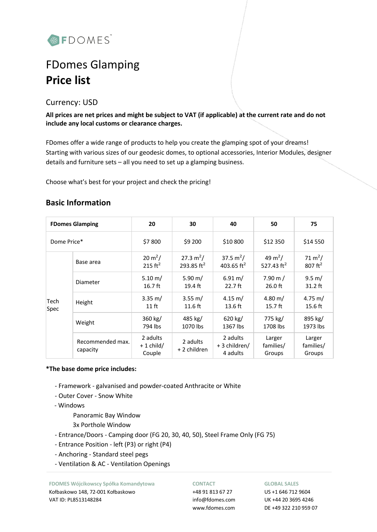

# FDomes Glamping **Price list**

Currency: USD

**All prices are net prices and might be subject to VAT (if applicable) at the current rate and do not include any local customs or clearance charges.**

FDomes offer a wide range of products to help you create the glamping spot of your dreams! Starting with various sizes of our geodesic domes, to optional accessories, Interior Modules, designer details and furniture sets – all you need to set up a glamping business.

Choose what's best for your project and check the pricing!

|  | <b>Basic Information</b> |
|--|--------------------------|
|  |                          |

| <b>FDomes Glamping</b>             |                              | 20                                | 30                                    | 40                                    | 50                                   | 75                                        |  |
|------------------------------------|------------------------------|-----------------------------------|---------------------------------------|---------------------------------------|--------------------------------------|-------------------------------------------|--|
| Dome Price*                        |                              | \$7800                            | \$9 200                               | \$10 800                              | \$12 350                             | \$14 550                                  |  |
|                                    | Base area                    | $20 \text{ m}^2$ /<br>215 $ft^2$  | 27.3 $m^2/$<br>293.85 ft <sup>2</sup> | 37.5 $m^2/$<br>403.65 $ft^2$          | 49 m <sup>2</sup> /<br>527.43 $ft^2$ | 71 m <sup>2</sup> /<br>$807 \text{ ft}^2$ |  |
| Diameter<br>Tech<br>Height<br>Spec |                              | $5.10 \; \mathrm{m}$ /<br>16.7 ft | 5.90 m/<br>19.4 ft                    | $6.91 \text{ m}$ /<br>22.7 ft         | $7.90 \text{ m}$ /<br>$26.0$ ft      | $9.5 \text{ m}$ /<br>$31.2$ ft            |  |
|                                    |                              | $3.35 \text{ m}$ /<br>$11$ ft     | $3.55 \text{ m}$ /<br>$11.6$ ft       | $4.15 \text{ m}$ /<br>13.6 ft         | 4.80 m/<br>$15.7$ ft                 | 4.75 m/<br>15.6 ft                        |  |
|                                    | Weight                       | 360 kg/<br>794 lbs                | 485 kg/<br>1070 lbs                   | $620$ kg/<br>1367 lbs                 | 775 kg/<br>1708 lbs                  | 895 kg/<br>1973 lbs                       |  |
|                                    | Recommended max.<br>capacity | 2 adults<br>$+1$ child/<br>Couple | 2 adults<br>+ 2 children              | 2 adults<br>+ 3 children/<br>4 adults | Larger<br>families/<br>Groups        | Larger<br>families/<br>Groups             |  |

## **\*The base dome price includes:**

- Framework galvanised and powder-coated Anthracite or White
- Outer Cover Snow White
- Windows

Panoramic Bay Window

- 3x Porthole Window
- Entrance/Doors Camping door (FG 20, 30, 40, 50), Steel Frame Only (FG 75)
- Entrance Position left (P3) or right (P4)
- Anchoring Standard steel pegs
- Ventilation & AC Ventilation Openings

**FDOMES Wójcikowscy Spółka Komandytowa** Kołbaskowo 148, 72-001 Kołbaskowo VAT ID: PL8513148284

### **CONTACT**

+48 91 813 67 27 info@fdomes.com www.fdomes.com

#### **GLOBAL SALES**

US +1 646 712 9604 UK +44 20 3695 4246 DE +49 322 210 959 07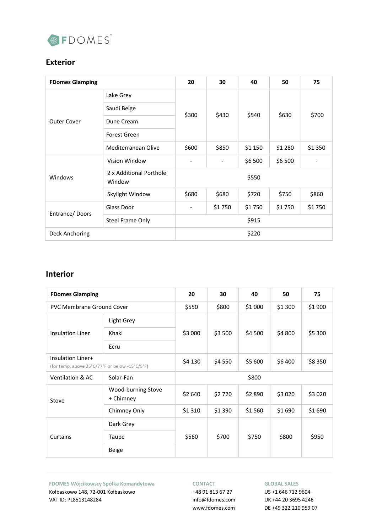

# **Exterior**

| <b>FDomes Glamping</b> |                                   | 20    | 30     | 40      | 50      | 75     |  |
|------------------------|-----------------------------------|-------|--------|---------|---------|--------|--|
| <b>Outer Cover</b>     | Lake Grey                         | \$300 | \$430  | \$540   | \$630   | \$700  |  |
|                        | Saudi Beige                       |       |        |         |         |        |  |
|                        | Dune Cream                        |       |        |         |         |        |  |
|                        | Forest Green                      |       |        |         |         |        |  |
|                        | Mediterranean Olive               | \$600 | \$850  | \$1 150 | \$1 280 | \$1350 |  |
| Windows                | Vision Window                     |       |        | \$6 500 | \$6 500 | -      |  |
|                        | 2 x Additional Porthole<br>Window | \$550 |        |         |         |        |  |
|                        | Skylight Window                   | \$680 | \$680  | \$720   | \$750   | \$860  |  |
| Entrance/Doors         | Glass Door                        |       | \$1750 | \$1750  | \$1750  | \$1750 |  |
|                        | <b>Steel Frame Only</b>           | \$915 |        |         |         |        |  |
| Deck Anchoring         |                                   | \$220 |        |         |         |        |  |

## **Interior**

| <b>FDomes Glamping</b>                                              |                                 | 20      | 30      | 40      | 50       | 75      |
|---------------------------------------------------------------------|---------------------------------|---------|---------|---------|----------|---------|
| <b>PVC Membrane Ground Cover</b>                                    |                                 | \$550   | \$800   | \$1 000 | \$1 300  | \$1 900 |
| <b>Insulation Liner</b>                                             | Light Grey                      |         | \$3 500 | \$4 500 | \$4 800  | \$5 300 |
|                                                                     | Khaki                           | \$3 000 |         |         |          |         |
|                                                                     | Ecru                            |         |         |         |          |         |
| Insulation Liner+<br>(for temp. above 25°C/77°F or below -15°C/5°F) |                                 | \$4 130 | \$4 550 | \$5 600 | \$6400   | \$8350  |
| Ventilation & AC                                                    | Solar-Fan                       | \$800   |         |         |          |         |
| Stove                                                               | Wood-burning Stove<br>+ Chimney | \$2 640 | \$2720  | \$2890  | \$3 0 20 | \$3020  |
|                                                                     | Chimney Only                    | \$1310  | \$1390  | \$1560  | \$1 690  | \$1690  |
|                                                                     | Dark Grey                       |         |         | \$750   | \$800    | \$950   |
| Curtains                                                            | Taupe                           | \$560   | \$700   |         |          |         |
|                                                                     | <b>Beige</b>                    |         |         |         |          |         |

**FDOMES Wójcikowscy Spółka Komandytowa** Kołbaskowo 148, 72-001 Kołbaskowo VAT ID: PL8513148284

## **CONTACT**

+48 91 813 67 27 info@fdomes.com www.fdomes.com

## **GLOBAL SALES**

US +1 646 712 9604 UK +44 20 3695 4246 DE +49 322 210 959 07